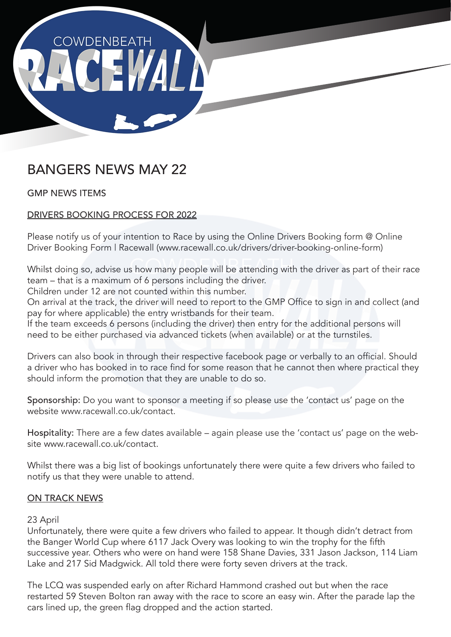

## BANGERS NEWS MAY 22

GMP NEWS ITEMS

## DRIVERS BOOKING PROCESS FOR 2022

Please notify us of your intention to Race by using the Online Drivers Booking form @ Online Driver Booking Form | Racewall (www.racewall.co.uk/drivers/driver-booking-online-form)

Whilst doing so, advise us how many people will be attending with the driver as part of their race team – that is a maximum of 6 persons including the driver.

Children under 12 are not counted within this number.

On arrival at the track, the driver will need to report to the GMP Office to sign in and collect (and pay for where applicable) the entry wristbands for their team.

If the team exceeds 6 persons (including the driver) then entry for the additional persons will need to be either purchased via advanced tickets (when available) or at the turnstiles.

Drivers can also book in through their respective facebook page or verbally to an official. Should a driver who has booked in to race find for some reason that he cannot then where practical they should inform the promotion that they are unable to do so.

Sponsorship: Do you want to sponsor a meeting if so please use the 'contact us' page on the website www.racewall.co.uk/contact.

Hospitality: There are a few dates available – again please use the 'contact us' page on the website www.racewall.co.uk/contact.

Whilst there was a big list of bookings unfortunately there were quite a few drivers who failed to notify us that they were unable to attend.

## ON TRACK NEWS

## 23 April

Unfortunately, there were quite a few drivers who failed to appear. It though didn't detract from the Banger World Cup where 6117 Jack Overy was looking to win the trophy for the fifth successive year. Others who were on hand were 158 Shane Davies, 331 Jason Jackson, 114 Liam Lake and 217 Sid Madgwick. All told there were forty seven drivers at the track.

The LCQ was suspended early on after Richard Hammond crashed out but when the race restarted 59 Steven Bolton ran away with the race to score an easy win. After the parade lap the cars lined up, the green flag dropped and the action started.